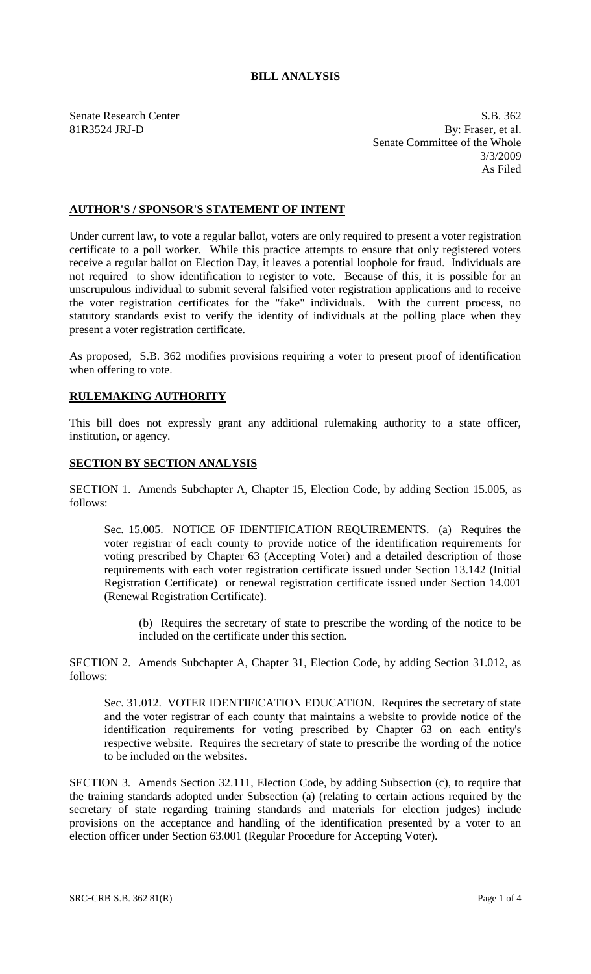## **BILL ANALYSIS**

Senate Research Center S.B. 362 81R3524 JRJ-D By: Fraser, et al. Senate Committee of the Whole 3/3/2009 As Filed

## **AUTHOR'S / SPONSOR'S STATEMENT OF INTENT**

Under current law, to vote a regular ballot, voters are only required to present a voter registration certificate to a poll worker. While this practice attempts to ensure that only registered voters receive a regular ballot on Election Day, it leaves a potential loophole for fraud. Individuals are not required to show identification to register to vote. Because of this, it is possible for an unscrupulous individual to submit several falsified voter registration applications and to receive the voter registration certificates for the "fake" individuals. With the current process, no statutory standards exist to verify the identity of individuals at the polling place when they present a voter registration certificate.

As proposed, S.B. 362 modifies provisions requiring a voter to present proof of identification when offering to vote.

## **RULEMAKING AUTHORITY**

This bill does not expressly grant any additional rulemaking authority to a state officer, institution, or agency.

## **SECTION BY SECTION ANALYSIS**

SECTION 1. Amends Subchapter A, Chapter 15, Election Code, by adding Section 15.005, as follows:

Sec. 15.005. NOTICE OF IDENTIFICATION REQUIREMENTS. (a) Requires the voter registrar of each county to provide notice of the identification requirements for voting prescribed by Chapter 63 (Accepting Voter) and a detailed description of those requirements with each voter registration certificate issued under Section 13.142 (Initial Registration Certificate) or renewal registration certificate issued under Section 14.001 (Renewal Registration Certificate).

(b) Requires the secretary of state to prescribe the wording of the notice to be included on the certificate under this section.

SECTION 2. Amends Subchapter A, Chapter 31, Election Code, by adding Section 31.012, as follows:

Sec. 31.012. VOTER IDENTIFICATION EDUCATION. Requires the secretary of state and the voter registrar of each county that maintains a website to provide notice of the identification requirements for voting prescribed by Chapter 63 on each entity's respective website. Requires the secretary of state to prescribe the wording of the notice to be included on the websites.

SECTION 3. Amends Section 32.111, Election Code, by adding Subsection (c), to require that the training standards adopted under Subsection (a) (relating to certain actions required by the secretary of state regarding training standards and materials for election judges) include provisions on the acceptance and handling of the identification presented by a voter to an election officer under Section 63.001 (Regular Procedure for Accepting Voter).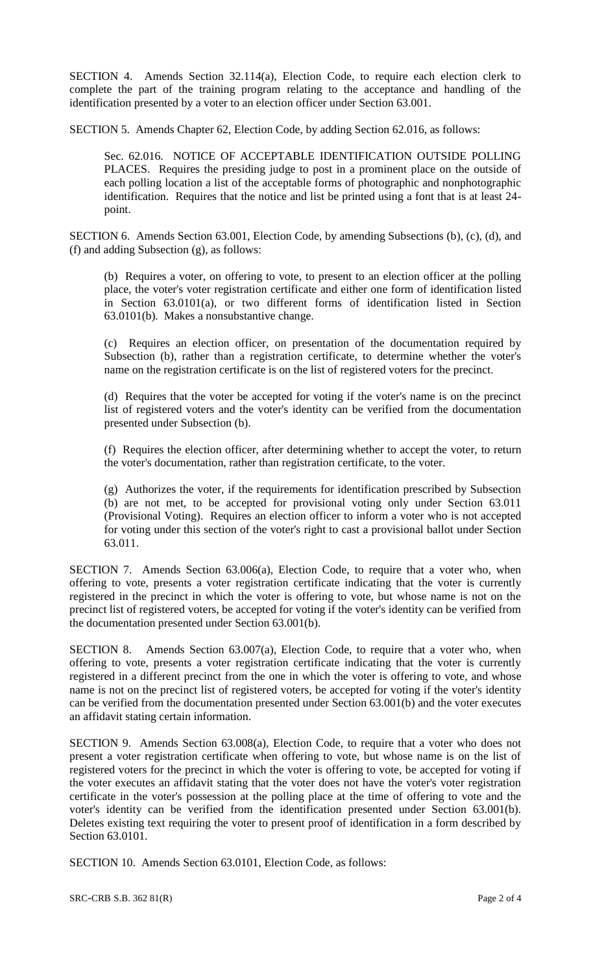SECTION 4. Amends Section 32.114(a), Election Code, to require each election clerk to complete the part of the training program relating to the acceptance and handling of the identification presented by a voter to an election officer under Section 63.001.

SECTION 5. Amends Chapter 62, Election Code, by adding Section 62.016, as follows:

Sec. 62.016. NOTICE OF ACCEPTABLE IDENTIFICATION OUTSIDE POLLING PLACES. Requires the presiding judge to post in a prominent place on the outside of each polling location a list of the acceptable forms of photographic and nonphotographic identification. Requires that the notice and list be printed using a font that is at least 24 point.

SECTION 6. Amends Section 63.001, Election Code, by amending Subsections (b), (c), (d), and (f) and adding Subsection (g), as follows:

(b) Requires a voter, on offering to vote, to present to an election officer at the polling place, the voter's voter registration certificate and either one form of identification listed in Section 63.0101(a), or two different forms of identification listed in Section 63.0101(b). Makes a nonsubstantive change.

(c) Requires an election officer, on presentation of the documentation required by Subsection (b), rather than a registration certificate, to determine whether the voter's name on the registration certificate is on the list of registered voters for the precinct.

(d) Requires that the voter be accepted for voting if the voter's name is on the precinct list of registered voters and the voter's identity can be verified from the documentation presented under Subsection (b).

(f) Requires the election officer, after determining whether to accept the voter, to return the voter's documentation, rather than registration certificate, to the voter.

(g) Authorizes the voter, if the requirements for identification prescribed by Subsection (b) are not met, to be accepted for provisional voting only under Section 63.011 (Provisional Voting). Requires an election officer to inform a voter who is not accepted for voting under this section of the voter's right to cast a provisional ballot under Section 63.011.

SECTION 7. Amends Section 63.006(a), Election Code, to require that a voter who, when offering to vote, presents a voter registration certificate indicating that the voter is currently registered in the precinct in which the voter is offering to vote, but whose name is not on the precinct list of registered voters, be accepted for voting if the voter's identity can be verified from the documentation presented under Section 63.001(b).

SECTION 8. Amends Section 63.007(a), Election Code, to require that a voter who, when offering to vote, presents a voter registration certificate indicating that the voter is currently registered in a different precinct from the one in which the voter is offering to vote, and whose name is not on the precinct list of registered voters, be accepted for voting if the voter's identity can be verified from the documentation presented under Section 63.001(b) and the voter executes an affidavit stating certain information.

SECTION 9. Amends Section 63.008(a), Election Code, to require that a voter who does not present a voter registration certificate when offering to vote, but whose name is on the list of registered voters for the precinct in which the voter is offering to vote, be accepted for voting if the voter executes an affidavit stating that the voter does not have the voter's voter registration certificate in the voter's possession at the polling place at the time of offering to vote and the voter's identity can be verified from the identification presented under Section 63.001(b). Deletes existing text requiring the voter to present proof of identification in a form described by Section 63.0101.

SECTION 10. Amends Section 63.0101, Election Code, as follows: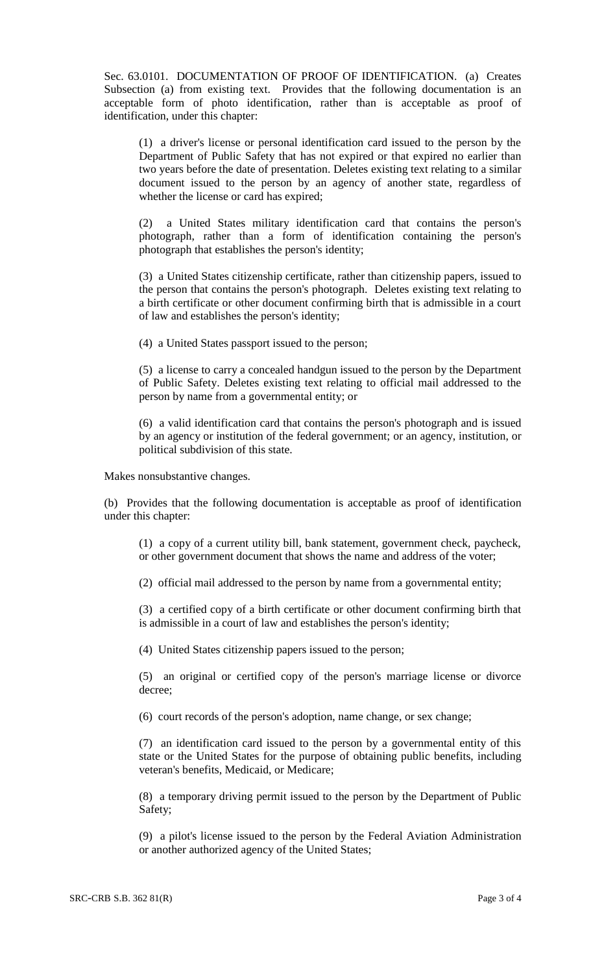Sec. 63.0101. DOCUMENTATION OF PROOF OF IDENTIFICATION. (a) Creates Subsection (a) from existing text. Provides that the following documentation is an acceptable form of photo identification, rather than is acceptable as proof of identification, under this chapter:

(1) a driver's license or personal identification card issued to the person by the Department of Public Safety that has not expired or that expired no earlier than two years before the date of presentation. Deletes existing text relating to a similar document issued to the person by an agency of another state, regardless of whether the license or card has expired;

(2) a United States military identification card that contains the person's photograph, rather than a form of identification containing the person's photograph that establishes the person's identity;

(3) a United States citizenship certificate, rather than citizenship papers, issued to the person that contains the person's photograph. Deletes existing text relating to a birth certificate or other document confirming birth that is admissible in a court of law and establishes the person's identity;

(4) a United States passport issued to the person;

(5) a license to carry a concealed handgun issued to the person by the Department of Public Safety. Deletes existing text relating to official mail addressed to the person by name from a governmental entity; or

(6) a valid identification card that contains the person's photograph and is issued by an agency or institution of the federal government; or an agency, institution, or political subdivision of this state.

Makes nonsubstantive changes.

(b) Provides that the following documentation is acceptable as proof of identification under this chapter:

(1) a copy of a current utility bill, bank statement, government check, paycheck, or other government document that shows the name and address of the voter;

(2) official mail addressed to the person by name from a governmental entity;

(3) a certified copy of a birth certificate or other document confirming birth that is admissible in a court of law and establishes the person's identity;

(4) United States citizenship papers issued to the person;

(5) an original or certified copy of the person's marriage license or divorce decree;

(6) court records of the person's adoption, name change, or sex change;

(7) an identification card issued to the person by a governmental entity of this state or the United States for the purpose of obtaining public benefits, including veteran's benefits, Medicaid, or Medicare;

(8) a temporary driving permit issued to the person by the Department of Public Safety;

(9) a pilot's license issued to the person by the Federal Aviation Administration or another authorized agency of the United States;